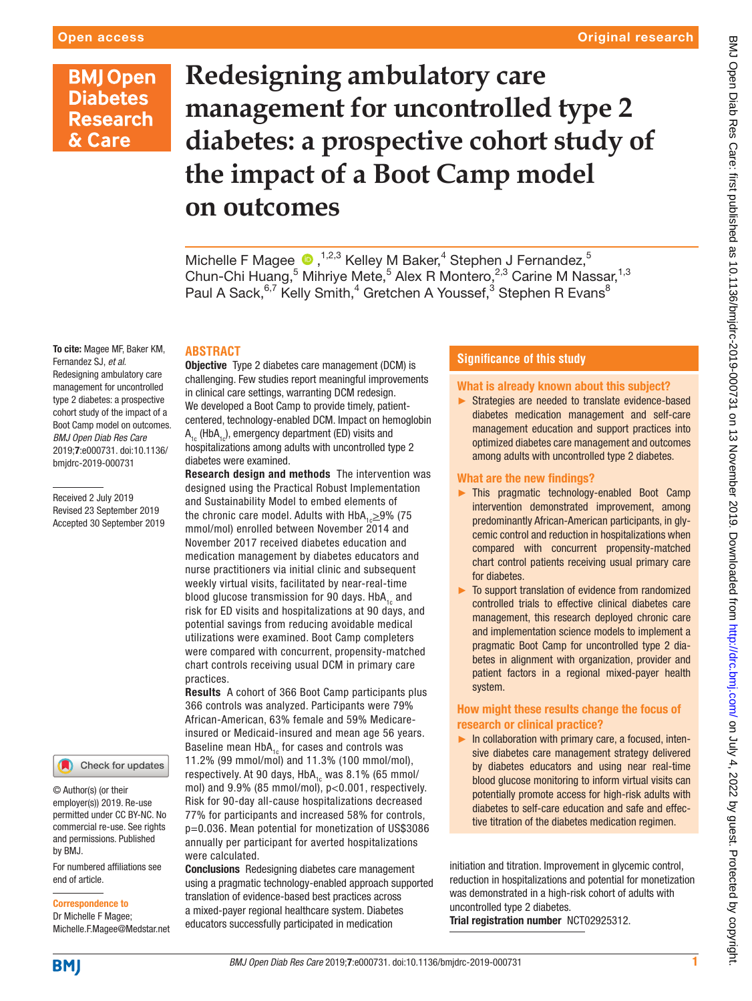# **BMJ Open Diabetes Research** & Care

# **Redesigning ambulatory care management for uncontrolled type 2 diabetes: a prospective cohort study of the impact of a Boot Camp model on outcomes**

Michelle F Magee  $\bigcirc$ , <sup>1,2,3</sup> Kelley M Baker,<sup>4</sup> Stephen J Fernandez,<sup>5</sup> Chun-Chi Huang,<sup>5</sup> Mihriye Mete,<sup>5</sup> Alex R Montero,<sup>2,3</sup> Carine M Nassar,<sup>1,3</sup> Paul A Sack,  $6,7$  Kelly Smith,  $4$  Gretchen A Youssef,  $3$  Stephen R Evans $^8$ 

## **ABSTRACT**

To cite: Magee MF, Baker KM, Fernandez SJ, *et al*. Redesigning ambulatory care management for uncontrolled type 2 diabetes: a prospective cohort study of the impact of a Boot Camp model on outcomes. *BMJ Open Diab Res Care* 2019;7:e000731. doi:10.1136/ bmjdrc-2019-000731

Received 2 July 2019 Revised 23 September 2019 Accepted 30 September 2019

#### Check for updates

© Author(s) (or their employer(s)) 2019. Re-use permitted under CC BY-NC. No commercial re-use. See rights and permissions. Published by BMJ.

For numbered affiliations see end of article.

#### Correspondence to

Dr Michelle F Magee; Michelle.F.Magee@Medstar.net

**Objective** Type 2 diabetes care management (DCM) is challenging. Few studies report meaningful improvements in clinical care settings, warranting DCM redesign. We developed a Boot Camp to provide timely, patientcentered, technology-enabled DCM. Impact on hemoglobin  $A_{1c}$  (Hb $A_{1c}$ ), emergency department (ED) visits and hospitalizations among adults with uncontrolled type 2 diabetes were examined.

Research design and methods The intervention was designed using the Practical Robust Implementation and Sustainability Model to embed elements of the chronic care model. Adults with  $HbA<sub>1</sub> \geq 9\%$  (75 mmol/mol) enrolled between November 2014 and November 2017 received diabetes education and medication management by diabetes educators and nurse practitioners via initial clinic and subsequent weekly virtual visits, facilitated by near-real-time blood glucose transmission for 90 days.  $HbA<sub>1c</sub>$  and risk for ED visits and hospitalizations at 90 days, and potential savings from reducing avoidable medical utilizations were examined. Boot Camp completers were compared with concurrent, propensity-matched chart controls receiving usual DCM in primary care practices.

Results A cohort of 366 Boot Camp participants plus 366 controls was analyzed. Participants were 79% African-American, 63% female and 59% Medicareinsured or Medicaid-insured and mean age 56 years. Baseline mean  $HbA_{1c}$  for cases and controls was

11.2% (99 mmol/mol) and 11.3% (100 mmol/mol), respectively. At 90 days,  $HbA_{1c}$  was 8.1% (65 mmol/ mol) and 9.9% (85 mmol/mol), p<0.001, respectively. Risk for 90-day all-cause hospitalizations decreased 77% for participants and increased 58% for controls, p=0.036. Mean potential for monetization of US\$3086 annually per participant for averted hospitalizations were calculated.

Conclusions Redesigning diabetes care management using a pragmatic technology-enabled approach supported translation of evidence-based best practices across a mixed-payer regional healthcare system. Diabetes educators successfully participated in medication

## **Significance of this study**

### What is already known about this subject?

► Strategies are needed to translate evidence-based diabetes medication management and self-care management education and support practices into optimized diabetes care management and outcomes among adults with uncontrolled type 2 diabetes.

#### What are the new findings?

- ► This pragmatic technology-enabled Boot Camp intervention demonstrated improvement, among predominantly African-American participants, in glycemic control and reduction in hospitalizations when compared with concurrent propensity-matched chart control patients receiving usual primary care for diabetes.
- To support translation of evidence from randomized controlled trials to effective clinical diabetes care management, this research deployed chronic care and implementation science models to implement a pragmatic Boot Camp for uncontrolled type 2 diabetes in alignment with organization, provider and patient factors in a regional mixed-payer health system.

### How might these results change the focus of research or clinical practice?

► In collaboration with primary care, a focused, intensive diabetes care management strategy delivered by diabetes educators and using near real-time blood glucose monitoring to inform virtual visits can potentially promote access for high-risk adults with diabetes to self-care education and safe and effective titration of the diabetes medication regimen.

initiation and titration. Improvement in glycemic control, reduction in hospitalizations and potential for monetization was demonstrated in a high-risk cohort of adults with uncontrolled type 2 diabetes. Trial registration number [NCT02925312.](NCT02925312)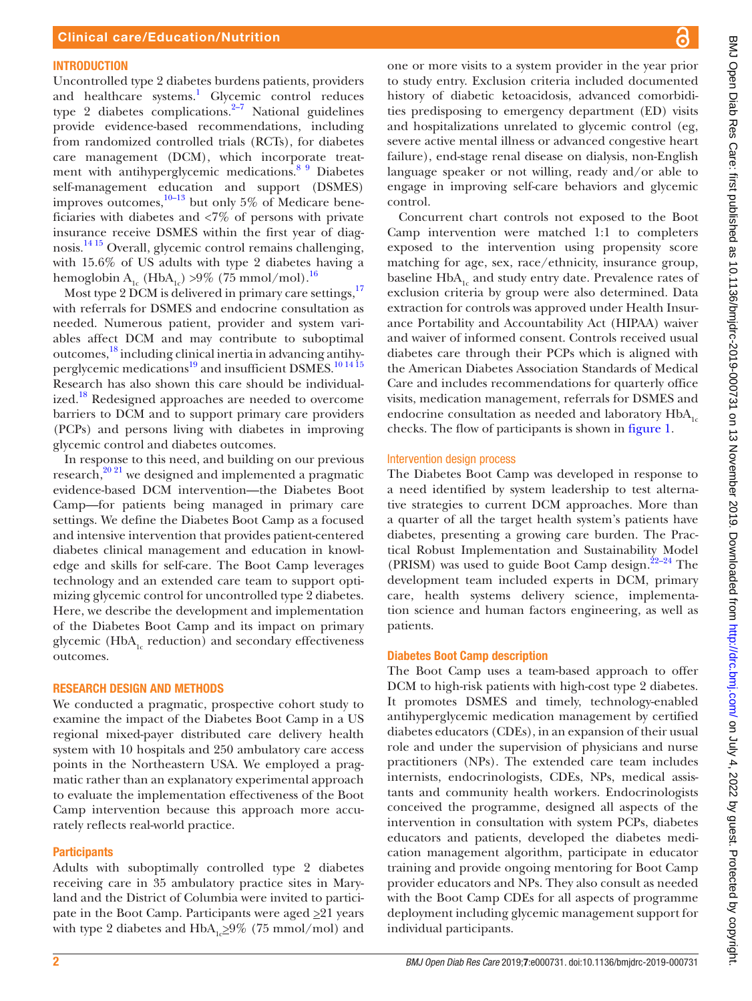#### **INTRODUCTION**

Uncontrolled type 2 diabetes burdens patients, providers and healthcare systems.<sup>1</sup> Glycemic control reduces type 2 diabetes complications. $2\frac{2}{7}$  National guidelines provide evidence-based recommendations, including from randomized controlled trials (RCTs), for diabetes care management (DCM), which incorporate treat-ment with antihyperglycemic medications.<sup>[8 9](#page-9-0)</sup> Diabetes self-management education and support (DSMES) improves outcomes, $10-13$  but only 5% of Medicare beneficiaries with diabetes and <7% of persons with private insurance receive DSMES within the first year of diagnosis[.14 15](#page-9-2) Overall, glycemic control remains challenging, with 15.6% of US adults with type 2 diabetes having a hemoglobin A<sub>1c</sub> (HbA<sub>1c</sub>) >9% (75 mmol/mol).<sup>16</sup>

Most type 2 DCM is delivered in primary care settings.<sup>[17](#page-9-4)</sup> with referrals for DSMES and endocrine consultation as needed. Numerous patient, provider and system variables affect DCM and may contribute to suboptimal outcomes,<sup>[18](#page-9-5)</sup> including clinical inertia in advancing antihyperglycemic medications<sup>19</sup> and insufficient DSMES.<sup>101415</sup> Research has also shown this care should be individual-ized.<sup>[18](#page-9-5)</sup> Redesigned approaches are needed to overcome barriers to DCM and to support primary care providers (PCPs) and persons living with diabetes in improving glycemic control and diabetes outcomes.

In response to this need, and building on our previous research, $20$ <sup>21</sup> we designed and implemented a pragmatic evidence-based DCM intervention—the Diabetes Boot Camp—for patients being managed in primary care settings. We define the Diabetes Boot Camp as a focused and intensive intervention that provides patient-centered diabetes clinical management and education in knowledge and skills for self-care. The Boot Camp leverages technology and an extended care team to support optimizing glycemic control for uncontrolled type 2 diabetes. Here, we describe the development and implementation of the Diabetes Boot Camp and its impact on primary glycemic ( $HbA<sub>1c</sub>$  reduction) and secondary effectiveness outcomes.

#### Research design and methods

We conducted a pragmatic, prospective cohort study to examine the impact of the Diabetes Boot Camp in a US regional mixed-payer distributed care delivery health system with 10 hospitals and 250 ambulatory care access points in the Northeastern USA. We employed a pragmatic rather than an explanatory experimental approach to evaluate the implementation effectiveness of the Boot Camp intervention because this approach more accurately reflects real-world practice.

#### **Participants**

Adults with suboptimally controlled type 2 diabetes receiving care in 35 ambulatory practice sites in Maryland and the District of Columbia were invited to participate in the Boot Camp. Participants were aged  $\geq 21$  years with type 2 diabetes and  $HbA_{1c} \geq 9\%$  (75 mmol/mol) and

one or more visits to a system provider in the year prior to study entry. Exclusion criteria included documented history of diabetic ketoacidosis, advanced comorbidities predisposing to emergency department (ED) visits and hospitalizations unrelated to glycemic control (eg, severe active mental illness or advanced congestive heart failure), end-stage renal disease on dialysis, non-English language speaker or not willing, ready and/or able to engage in improving self-care behaviors and glycemic control.

Concurrent chart controls not exposed to the Boot Camp intervention were matched 1:1 to completers exposed to the intervention using propensity score matching for age, sex, race/ethnicity, insurance group, baseline HbA<sub>1</sub> and study entry date. Prevalence rates of exclusion criteria by group were also determined. Data extraction for controls was approved under Health Insurance Portability and Accountability Act (HIPAA) waiver and waiver of informed consent. Controls received usual diabetes care through their PCPs which is aligned with the American Diabetes Association Standards of Medical Care and includes recommendations for quarterly office visits, medication management, referrals for DSMES and endocrine consultation as needed and laboratory  $HbA<sub>1c</sub>$ checks. The flow of participants is shown in [figure](#page-2-0) 1.

#### Intervention design process

The Diabetes Boot Camp was developed in response to a need identified by system leadership to test alternative strategies to current DCM approaches. More than a quarter of all the target health system's patients have diabetes, presenting a growing care burden. The Practical Robust Implementation and Sustainability Model (PRISM) was used to guide Boot Camp design. $22-24$  The development team included experts in DCM, primary care, health systems delivery science, implementation science and human factors engineering, as well as patients.

### Diabetes Boot Camp description

The Boot Camp uses a team-based approach to offer DCM to high-risk patients with high-cost type 2 diabetes. It promotes DSMES and timely, technology-enabled antihyperglycemic medication management by certified diabetes educators (CDEs), in an expansion of their usual role and under the supervision of physicians and nurse practitioners (NPs). The extended care team includes internists, endocrinologists, CDEs, NPs, medical assistants and community health workers. Endocrinologists conceived the programme, designed all aspects of the intervention in consultation with system PCPs, diabetes educators and patients, developed the diabetes medication management algorithm, participate in educator training and provide ongoing mentoring for Boot Camp provider educators and NPs. They also consult as needed with the Boot Camp CDEs for all aspects of programme deployment including glycemic management support for individual participants.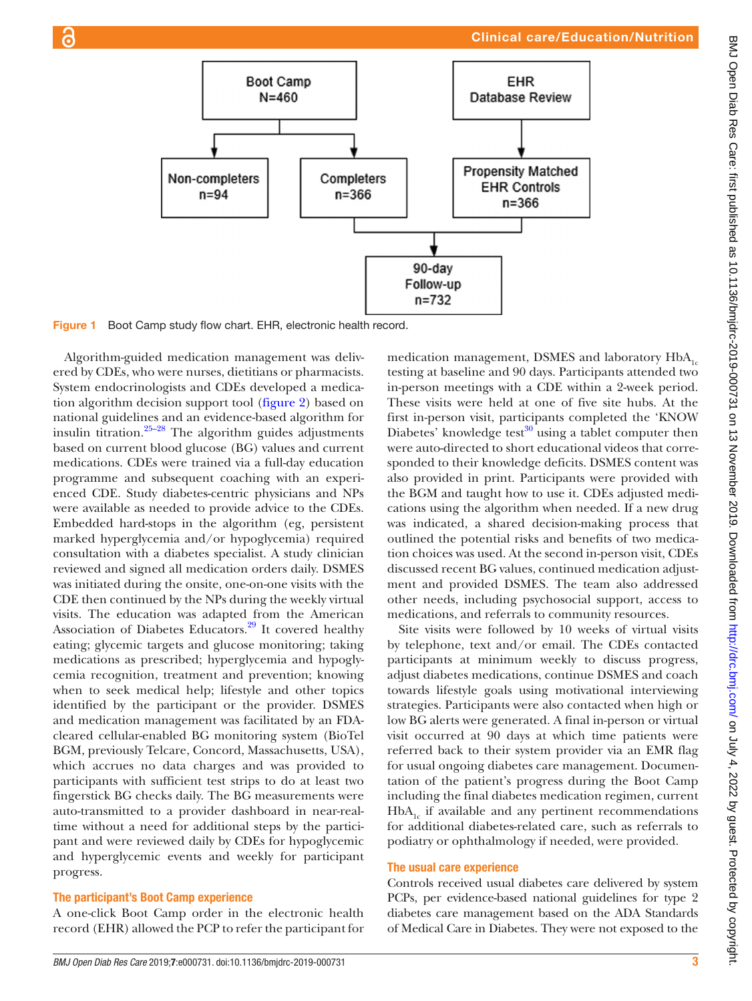# Clinical care/Education/Nutrition



Figure 1 Boot Camp study flow chart. EHR, electronic health record.

Algorithm-guided medication management was delivered by CDEs, who were nurses, dietitians or pharmacists. System endocrinologists and CDEs developed a medication algorithm decision support tool [\(figure](#page-3-0) 2) based on national guidelines and an evidence-based algorithm for insulin titration. $25-28$  The algorithm guides adjustments based on current blood glucose (BG) values and current medications. CDEs were trained via a full-day education programme and subsequent coaching with an experienced CDE. Study diabetes-centric physicians and NPs were available as needed to provide advice to the CDEs. Embedded hard-stops in the algorithm (eg, persistent marked hyperglycemia and/or hypoglycemia) required consultation with a diabetes specialist. A study clinician reviewed and signed all medication orders daily. DSMES was initiated during the onsite, one-on-one visits with the CDE then continued by the NPs during the weekly virtual visits. The education was adapted from the American Association of Diabetes Educators.<sup>29</sup> It covered healthy eating; glycemic targets and glucose monitoring; taking medications as prescribed; hyperglycemia and hypoglycemia recognition, treatment and prevention; knowing when to seek medical help; lifestyle and other topics identified by the participant or the provider. DSMES and medication management was facilitated by an FDAcleared cellular-enabled BG monitoring system (BioTel BGM, previously Telcare, Concord, Massachusetts, USA), which accrues no data charges and was provided to participants with sufficient test strips to do at least two fingerstick BG checks daily. The BG measurements were auto-transmitted to a provider dashboard in near-realtime without a need for additional steps by the participant and were reviewed daily by CDEs for hypoglycemic and hyperglycemic events and weekly for participant progress.

# The participant's Boot Camp experience

A one-click Boot Camp order in the electronic health record (EHR) allowed the PCP to refer the participant for

<span id="page-2-0"></span>medication management, DSMES and laboratory  $HbA_{1c}$ testing at baseline and 90 days. Participants attended two in-person meetings with a CDE within a 2-week period. These visits were held at one of five site hubs. At the first in-person visit, participants completed the 'KNOW Diabetes' knowledge test $30$  using a tablet computer then were auto-directed to short educational videos that corresponded to their knowledge deficits. DSMES content was also provided in print. Participants were provided with the BGM and taught how to use it. CDEs adjusted medications using the algorithm when needed. If a new drug was indicated, a shared decision-making process that outlined the potential risks and benefits of two medication choices was used. At the second in-person visit, CDEs discussed recent BG values, continued medication adjustment and provided DSMES. The team also addressed other needs, including psychosocial support, access to medications, and referrals to community resources.

Site visits were followed by 10 weeks of virtual visits by telephone, text and/or email. The CDEs contacted participants at minimum weekly to discuss progress, adjust diabetes medications, continue DSMES and coach towards lifestyle goals using motivational interviewing strategies. Participants were also contacted when high or low BG alerts were generated. A final in-person or virtual visit occurred at 90 days at which time patients were referred back to their system provider via an EMR flag for usual ongoing diabetes care management. Documentation of the patient's progress during the Boot Camp including the final diabetes medication regimen, current HbA<sub>1</sub> if available and any pertinent recommendations for additional diabetes-related care, such as referrals to podiatry or ophthalmology if needed, were provided.

### The usual care experience

Controls received usual diabetes care delivered by system PCPs, per evidence-based national guidelines for type 2 diabetes care management based on the ADA Standards of Medical Care in Diabetes. They were not exposed to the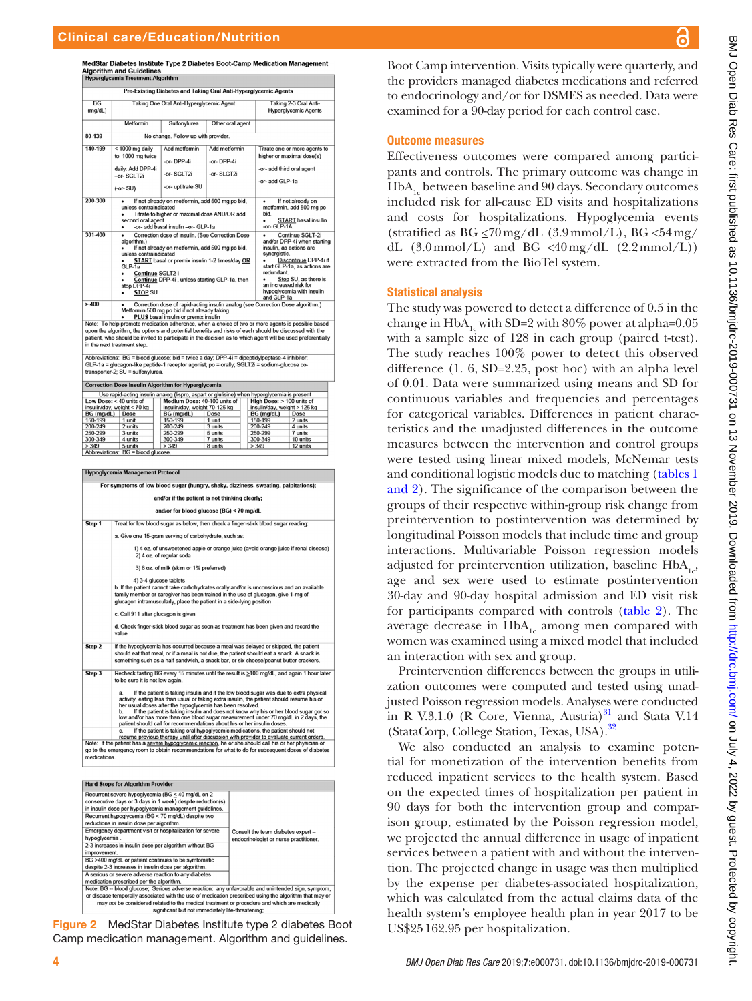MedStar Diabetes Institute Type 2 Diabetes Boot-Camp Medication Management **Algorithm and Guidelines** 

| <b>Hyperglycemia Treatment Algorithm</b>                                                                                                                                                                                                                                                                                                                                                                                                                                                                       |                                                                                                                  |                                                                                                                                                                                                        |                                                                                                                                                                                                                                                              |                                                                                                            |  |  |  |  |
|----------------------------------------------------------------------------------------------------------------------------------------------------------------------------------------------------------------------------------------------------------------------------------------------------------------------------------------------------------------------------------------------------------------------------------------------------------------------------------------------------------------|------------------------------------------------------------------------------------------------------------------|--------------------------------------------------------------------------------------------------------------------------------------------------------------------------------------------------------|--------------------------------------------------------------------------------------------------------------------------------------------------------------------------------------------------------------------------------------------------------------|------------------------------------------------------------------------------------------------------------|--|--|--|--|
| Pre-Existing Diabetes and Taking Oral Anti-Hyperglycemic Agents                                                                                                                                                                                                                                                                                                                                                                                                                                                |                                                                                                                  |                                                                                                                                                                                                        |                                                                                                                                                                                                                                                              |                                                                                                            |  |  |  |  |
| $\overline{BG}$<br>(mq/dL)                                                                                                                                                                                                                                                                                                                                                                                                                                                                                     |                                                                                                                  | Taking One Oral Anti-Hyperglycemic Agent                                                                                                                                                               | Taking 2-3 Oral Anti-<br><b>Hyperglycemic Agents</b>                                                                                                                                                                                                         |                                                                                                            |  |  |  |  |
|                                                                                                                                                                                                                                                                                                                                                                                                                                                                                                                | Metformin                                                                                                        | Sulfonvlurea                                                                                                                                                                                           | Other oral agent                                                                                                                                                                                                                                             |                                                                                                            |  |  |  |  |
| 80.139                                                                                                                                                                                                                                                                                                                                                                                                                                                                                                         |                                                                                                                  | No change. Follow up with provider.                                                                                                                                                                    |                                                                                                                                                                                                                                                              |                                                                                                            |  |  |  |  |
| 140-199                                                                                                                                                                                                                                                                                                                                                                                                                                                                                                        | $<$ 1000 mg daily<br>to 1000 mg twice<br>daily: Add DPP-4i<br>-or-SGLT2i<br>$(-or-SU)$                           | Add metformin<br>-or-DPP-4i<br>-or-SGLT2i<br>-or- uptitrate SU                                                                                                                                         | Add metformin<br>-or-DPP-4i<br>-or-SLGT2i                                                                                                                                                                                                                    | Titrate one or more agents to<br>higher or maximal dose(s)<br>-or- add third oral agent<br>-or- add GLP-1a |  |  |  |  |
| 200-300                                                                                                                                                                                                                                                                                                                                                                                                                                                                                                        | unless contraindicated<br>٠<br>second oral agent<br>٠                                                            | If not already on metformin, add 500 mg po bid,<br>Titrate to higher or maximal dose AND/OR add<br>-or- add basal insulin -or- GLP-1a                                                                  | If not already on<br>metformin, add 500 mg po<br>bid.<br><b>START</b> basal insulin<br>-or- $GI$ P-1A                                                                                                                                                        |                                                                                                            |  |  |  |  |
| 301-400                                                                                                                                                                                                                                                                                                                                                                                                                                                                                                        | ٠<br>algorithm.)<br>unless contraindicated<br>$GLP-1a$<br>Continue SGLT2-i<br>stop DPP-4i<br><b>STOP SU</b><br>٠ | Correction dose of insulin. (See Correction Dose<br>If not already on metformin, add 500 mg po bid,<br>START basal or premix insulin 1-2 times/day OR<br>Continue DPP-4i, unless starting GLP-1a, then | Continue SGLT-2i<br>and/or DPP-4i when starting<br>insulin, as actions are<br>synergistic.<br>Discontinue DPP-4i if<br>start GLP-1a, as actions are<br>redundant<br>Stop SU, as there is<br>an increased risk for<br>hypoglycemia with insulin<br>and GLP-1a |                                                                                                            |  |  |  |  |
| >400<br>Correction dose of rapid-acting insulin analog (see Correction Dose algorithm.)<br>Metformin 500 mg po bid if not already taking.<br>PLUS basal insulin or premix insulin<br>Note: To help promote medication adherence, when a choice of two or more agents is possible based<br>upon the algorithm, the options and potential benefits and risks of each should be discussed with the<br>patient, who should be invited to participate in the decision as to which agent will be used preferentially |                                                                                                                  |                                                                                                                                                                                                        |                                                                                                                                                                                                                                                              |                                                                                                            |  |  |  |  |

in the next treatment step.

Abbreviations: BG = blood glucose; bid = twice a day; DPP-4i = dipeptidylpeptase-4 inhibitor;<br>GLP-1a = glucagon-like peptide-1 receptor agonist; po = orally; SGLT2i = sodium-glucose co-<br>transporter-2; SU = sulfonylurea.

| <b>Correction Dose Insulin Algorithm for Hyperglycemia</b>                                  |         |  |                               |         |  |                              |          |
|---------------------------------------------------------------------------------------------|---------|--|-------------------------------|---------|--|------------------------------|----------|
| Use rapid-acting insulin analog (lispro, aspart or glulisine) when hyperglycemia is present |         |  |                               |         |  |                              |          |
| Low Dose: $<$ 40 units of                                                                   |         |  | Medium Dose: 40-100 units of  |         |  | High Dose: > 100 units of    |          |
| insulin/day, weight < 70 kg                                                                 |         |  | insulin/day, weight 70-125 kg |         |  | insulin/day, weight > 125 kg |          |
| BG (mg/dL)                                                                                  | Dose    |  | BG (mg/dL)                    | Dose    |  | BG (mg/dL)                   | Dose     |
| 150-199                                                                                     | 1 unit  |  | 150-199                       | 1 unit  |  | 150-199                      | 2 units  |
| 200-249                                                                                     | 2 units |  | 200-249                       | 3 units |  | 200-249                      | 4 units  |
| 250-299                                                                                     | 3 units |  | 250-299                       | 5 units |  | 250-299                      | 7 units  |
| 300-349                                                                                     | 4 units |  | 300-349                       | 7 units |  | 300-349                      | 10 units |
| > 349                                                                                       | 5 units |  | > 349                         | 8 units |  | > 349                        | 12 units |
| Abbrovistione: RC - blood absence                                                           |         |  |                               |         |  |                              |          |

**Hypoglycemia Management Protocol** For symptoms of low blood sugar (hungry, shaky, dizziness, sweating, palpitations); and/or if the patient is not thinking clearly; and/or for blood glucose (BG) < 70 mg/dl Step 1 Treat for low blood sugar as below, then check a finger-stick blood sugar reading a. Give one 15-gram serving of carbohydrate, such as: 1) 4 oz. of unsweetened apple or orange juice (avoid orange juice if renal disea 2) 4 oz. of regular soda 3) 8 oz. of milk (skim or 1% preferred) 4) 3-4 glucose tablets 4) 3-4 glucose tablets<br>b. If the patient cannot take carbohydrates orally and/or is unconscious and an available<br>family member or caregiver has been trained in the use of glucagon, give 1-mg of<br>glucagon intramuscularly, p c. Call 911 after glucagon is giver d. Check finger-stick blood sugar as soon as treatment has been given and record the If the hypoglycemia has occurred because a meal was delayed or skipped, the patient<br>should eat that meal, or if a meal is not due, the patient should eat a snack. A snack is<br>something such as a half sandwich, a snack bar, Step 2 Recheck fasting BG every 15 minutes until the result is ≥100 mg/dL, and again 1 hour later Step 3 to be sure it is a. If the patient is taking insulin and if the low blood sugar was due to extra physical activity, eating less than usual of raking extra insulin, the patient is the patient is taking insulin and does not know why his or If the patient is taking insulin and if the low blood sugar was due to extra physical go to the em<br>medications.

Hard Stops for Algorithm Provider Fracturent severe hypoglycemia ( $BG \le 40$  mg/dL on 2<br>
Recentre tsevere hypoglycemia ( $BG \le 40$  mg/dL on 2<br>
consecutive days or 3 days in 1 week) despite reduction(s)<br>
in insulin dose per hypoglycemia management guidelines.<br> Consult the team diabetes expert hypoglycemia .<br>2-3 increases in insulin dose per algorithm without BG endocrinologist or nurse practitioner ement improvement.<br>BG >400 mg/dL or patient continues to be symtomatic os -240 cm gues o paraent containers to be symborized:<br>
despite 2-3 increases in insulin dose per algorithm.<br>
A serious or severe adverse reaction to any diabetes<br>
medication prescribed per the algorithm.<br>
Mote: BG – blood or disease temporally associated with the use of medication prescribed using the algorithm that may or<br>may not be considered related to the medical treatment or procedure and which are medically significant but not immediately life-threatening;

<span id="page-3-0"></span>Figure 2 MedStar Diabetes Institute type 2 diabetes Boot Camp medication management. Algorithm and guidelines.

Boot Camp intervention. Visits typically were quarterly, and the providers managed diabetes medications and referred to endocrinology and/or for DSMES as needed. Data were examined for a 90-day period for each control case.

#### Outcome measures

Effectiveness outcomes were compared among participants and controls. The primary outcome was change in HbA<sub>1</sub> between baseline and 90 days. Secondary outcomes included risk for all-cause ED visits and hospitalizations and costs for hospitalizations. Hypoglycemia events (stratified as BG  $\leq$ 70 mg/dL (3.9 mmol/L), BG  $\lt$ 54 mg/ dL  $(3.0 \text{mmol/L})$  and BG <40mg/dL  $(2.2 \text{mmol/L}))$ were extracted from the BioTel system.

#### Statistical analysis

The study was powered to detect a difference of 0.5 in the change in  $HbA_{1c}$  with SD=2 with 80% power at alpha=0.05 with a sample size of 128 in each group (paired t-test). The study reaches 100% power to detect this observed difference (1. 6, SD=2.25, post hoc) with an alpha level of 0.01. Data were summarized using means and SD for continuous variables and frequencies and percentages for categorical variables. Differences in patient characteristics and the unadjusted differences in the outcome measures between the intervention and control groups were tested using linear mixed models, McNemar tests and conditional logistic models due to matching ([tables](#page-4-0) 1 [and 2\)](#page-4-0). The significance of the comparison between the groups of their respective within-group risk change from preintervention to postintervention was determined by longitudinal Poisson models that include time and group interactions. Multivariable Poisson regression models adjusted for preintervention utilization, baseline  $HbA_{1c}$ , age and sex were used to estimate postintervention 30-day and 90-day hospital admission and ED visit risk for participants compared with controls ([table](#page-5-0) 2). The average decrease in  $HbA_{1c}$  among men compared with women was examined using a mixed model that included an interaction with sex and group.

Preintervention differences between the groups in utilization outcomes were computed and tested using unadjusted Poisson regression models. Analyses were conducted in R V.3.1.0 (R Core, Vienna, Austria) $31$  and Stata V.14 (StataCorp, College Station, Texas, USA).[32](#page-9-13)

We also conducted an analysis to examine potential for monetization of the intervention benefits from reduced inpatient services to the health system. Based on the expected times of hospitalization per patient in 90 days for both the intervention group and comparison group, estimated by the Poisson regression model, we projected the annual difference in usage of inpatient services between a patient with and without the intervention. The projected change in usage was then multiplied by the expense per diabetes-associated hospitalization, which was calculated from the actual claims data of the health system's employee health plan in year 2017 to be US\$25162.95 per hospitalization.

ဥ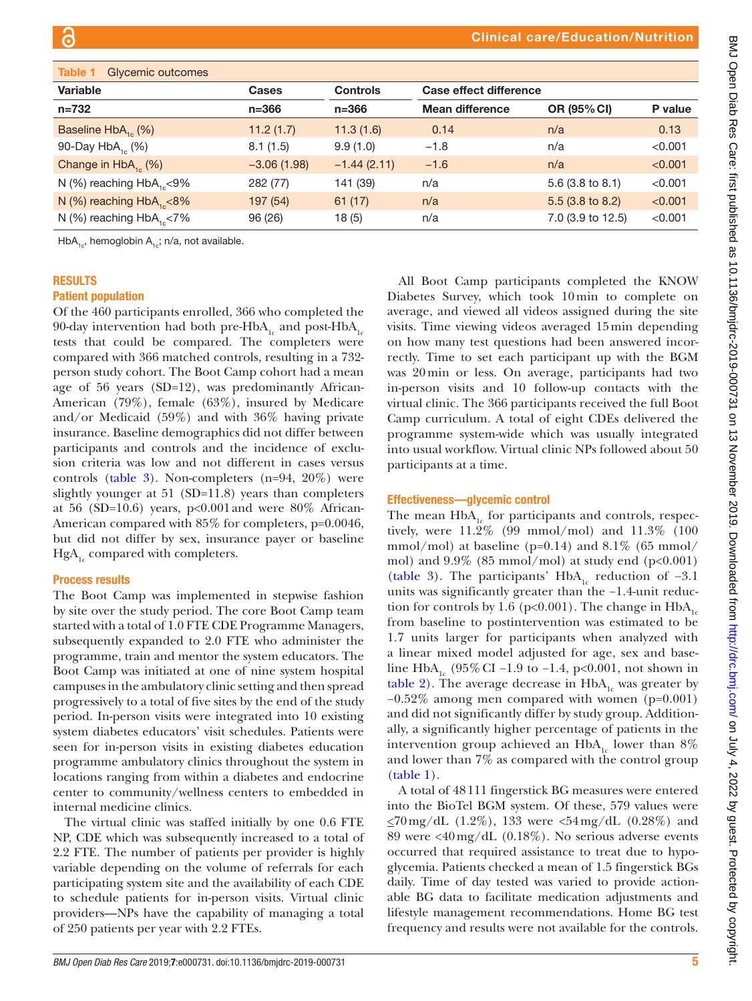<span id="page-4-0"></span>

| Glycemic outcomes<br>Table 1      |               |                 |                               |                             |         |
|-----------------------------------|---------------|-----------------|-------------------------------|-----------------------------|---------|
| Variable                          | <b>Cases</b>  | <b>Controls</b> | <b>Case effect difference</b> |                             |         |
| $n = 732$                         | $n = 366$     | $n = 366$       | <b>Mean difference</b>        | OR (95% CI)                 | P value |
| Baseline $HbA_{16}$ (%)           | 11.2(1.7)     | 11.3(1.6)       | 0.14                          | n/a                         | 0.13    |
| 90-Day $HbA_{16}$ (%)             | 8.1(1.5)      | 9.9(1.0)        | $-1.8$                        | n/a                         | < 0.001 |
| Change in $HbA_{16}$ (%)          | $-3.06(1.98)$ | $-1.44(2.11)$   | $-1.6$                        | n/a                         | < 0.001 |
| N (%) reaching $HbA_{1} < 9\%$    | 282 (77)      | 141 (39)        | n/a                           | 5.6 $(3.8 \text{ to } 8.1)$ | < 0.001 |
| N $(\%)$ reaching $HbA_{1} < 8\%$ | 197 (54)      | 61(17)          | n/a                           | $5.5(3.8 \text{ to } 8.2)$  | < 0.001 |
| N $(\%)$ reaching $HbA_{1} < 7\%$ | 96 (26)       | 18(5)           | n/a                           | 7.0 (3.9 to 12.5)           | < 0.001 |

HbA<sub>1c</sub>, hemoglobin A<sub>1c</sub>; n/a, not available.

#### **RESULTS**

#### Patient population

Of the 460 participants enrolled, 366 who completed the 90-day intervention had both pre-HbA<sub>1c</sub> and post-HbA<sub>1c</sub> tests that could be compared. The completers were compared with 366 matched controls, resulting in a 732 person study cohort. The Boot Camp cohort had a mean age of 56 years (SD=12), was predominantly African-American (79%), female (63%), insured by Medicare and/or Medicaid (59%) and with 36% having private insurance. Baseline demographics did not differ between participants and controls and the incidence of exclusion criteria was low and not different in cases versus controls ([table](#page-6-0) 3). Non-completers (n=94, 20%) were slightly younger at 51 (SD=11.8) years than completers at 56 (SD=10.6) years,  $p<0.001$  and were 80% African-American compared with 85% for completers, p=0.0046, but did not differ by sex, insurance payer or baseline  $HgA_{1c}$  compared with completers.

#### Process results

The Boot Camp was implemented in stepwise fashion by site over the study period. The core Boot Camp team started with a total of 1.0 FTE CDE Programme Managers, subsequently expanded to 2.0 FTE who administer the programme, train and mentor the system educators. The Boot Camp was initiated at one of nine system hospital campuses in the ambulatory clinic setting and then spread progressively to a total of five sites by the end of the study period. In-person visits were integrated into 10 existing system diabetes educators' visit schedules. Patients were seen for in-person visits in existing diabetes education programme ambulatory clinics throughout the system in locations ranging from within a diabetes and endocrine center to community/wellness centers to embedded in internal medicine clinics.

The virtual clinic was staffed initially by one 0.6 FTE NP, CDE which was subsequently increased to a total of 2.2 FTE. The number of patients per provider is highly variable depending on the volume of referrals for each participating system site and the availability of each CDE to schedule patients for in-person visits. Virtual clinic providers—NPs have the capability of managing a total of 250 patients per year with 2.2 FTEs.

All Boot Camp participants completed the KNOW Diabetes Survey, which took 10min to complete on average, and viewed all videos assigned during the site visits. Time viewing videos averaged 15min depending on how many test questions had been answered incorrectly. Time to set each participant up with the BGM was 20min or less. On average, participants had two in-person visits and 10 follow-up contacts with the virtual clinic. The 366 participants received the full Boot Camp curriculum. A total of eight CDEs delivered the programme system-wide which was usually integrated into usual workflow. Virtual clinic NPs followed about 50 participants at a time.

#### Effectiveness—glycemic control

The mean  $HbA<sub>1c</sub>$  for participants and controls, respectively, were 11.2% (99 mmol/mol) and 11.3% (100 mmol/mol) at baseline (p=0.14) and  $8.1\%$  (65 mmol/ mol) and  $9.9\%$  (85 mmol/mol) at study end (p<0.001) [\(table](#page-6-0) 3). The participants' HbA<sub>1c</sub> reduction of -3.1 units was significantly greater than the −1.4-unit reduction for controls by 1.6 (p<0.001). The change in  $HbA_{1c}$ from baseline to postintervention was estimated to be 1.7 units larger for participants when analyzed with a linear mixed model adjusted for age, sex and baseline HbA<sub>1c</sub> (95% CI –1.9 to –1.4, p<0.001, not shown in [table](#page-5-0) 2). The average decrease in  $HbA_{1c}$  was greater by −0.52% among men compared with women (p=0.001) and did not significantly differ by study group. Additionally, a significantly higher percentage of patients in the intervention group achieved an  $HbA_{1c}$  lower than 8% and lower than 7% as compared with the control group [\(table](#page-4-0) 1).

A total of 48111 fingerstick BG measures were entered into the BioTel BGM system. Of these, 579 values were  $\leq$ 70 mg/dL (1.2%), 133 were <54 mg/dL (0.28%) and 89 were <40mg/dL (0.18%). No serious adverse events occurred that required assistance to treat due to hypoglycemia. Patients checked a mean of 1.5 fingerstick BGs daily. Time of day tested was varied to provide actionable BG data to facilitate medication adjustments and lifestyle management recommendations. Home BG test frequency and results were not available for the controls.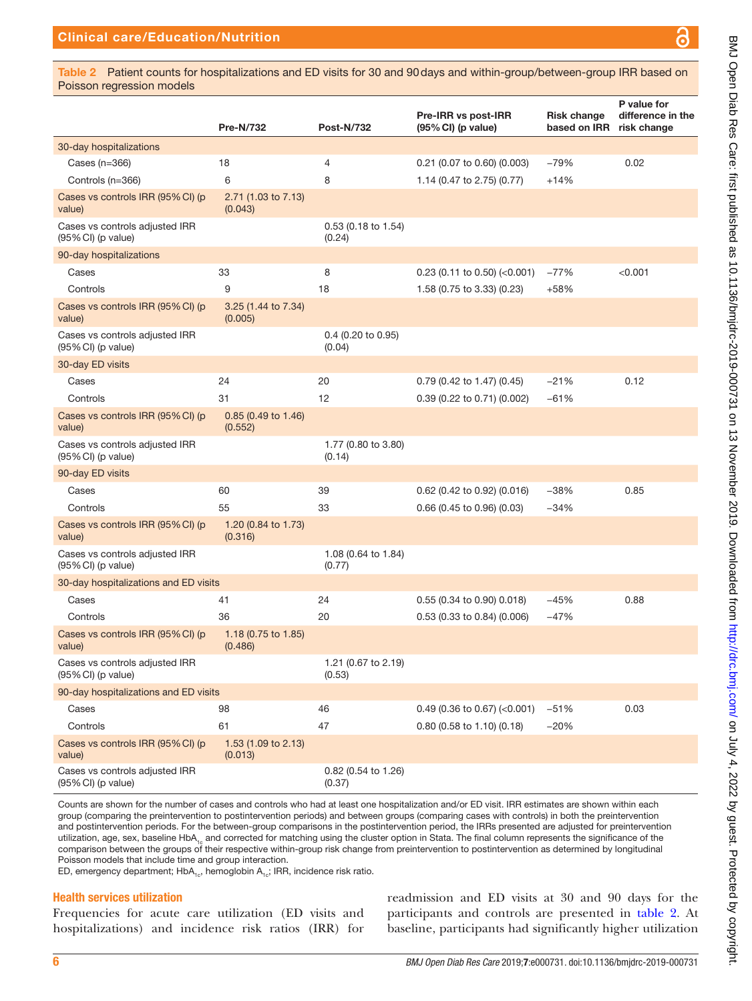ဥ

<span id="page-5-0"></span>Table 2 Patient counts for hospitalizations and ED visits for 30 and 90days and within-group/between-group IRR based on Poisson regression models

|                                                                 | <b>Pre-N/732</b>                          | <b>Post-N/732</b>             | Pre-IRR vs post-IRR<br>(95% CI) (p value) | <b>Risk change</b><br>based on IRR | P value for<br>difference in the<br>risk change |
|-----------------------------------------------------------------|-------------------------------------------|-------------------------------|-------------------------------------------|------------------------------------|-------------------------------------------------|
| 30-day hospitalizations                                         |                                           |                               |                                           |                                    |                                                 |
| Cases (n=366)                                                   | 18                                        | 4                             | 0.21 (0.07 to 0.60) (0.003)               | $-79%$                             | 0.02                                            |
| Controls (n=366)                                                | 6                                         | 8                             | 1.14 (0.47 to 2.75) (0.77)                | $+14%$                             |                                                 |
| Cases vs controls IRR (95% CI) (p<br>value)                     | 2.71 (1.03 to 7.13)<br>(0.043)            |                               |                                           |                                    |                                                 |
| Cases vs controls adjusted IRR<br>(95% CI) (p value)            |                                           | 0.53 (0.18 to 1.54)<br>(0.24) |                                           |                                    |                                                 |
| 90-day hospitalizations                                         |                                           |                               |                                           |                                    |                                                 |
| Cases                                                           | 33                                        | 8                             | $0.23$ (0.11 to 0.50) (<0.001)            | $-77%$                             | < 0.001                                         |
| Controls                                                        | 9                                         | 18                            | 1.58 (0.75 to 3.33) (0.23)                | $+58%$                             |                                                 |
| Cases vs controls IRR (95% CI) (p<br>value)                     | 3.25 (1.44 to 7.34)<br>(0.005)            |                               |                                           |                                    |                                                 |
| Cases vs controls adjusted IRR<br>$(95\% \text{ Cl})$ (p value) |                                           | 0.4 (0.20 to 0.95)<br>(0.04)  |                                           |                                    |                                                 |
| 30-day ED visits                                                |                                           |                               |                                           |                                    |                                                 |
| Cases                                                           | 24                                        | 20                            | 0.79 (0.42 to 1.47) (0.45)                | $-21%$                             | 0.12                                            |
| Controls                                                        | 31                                        | 12                            | 0.39 (0.22 to 0.71) (0.002)               | $-61%$                             |                                                 |
| Cases vs controls IRR (95% CI) (p<br>value)                     | $0.85$ (0.49 to 1.46)<br>(0.552)          |                               |                                           |                                    |                                                 |
| Cases vs controls adjusted IRR<br>$(95\% \text{ Cl})$ (p value) |                                           | 1.77 (0.80 to 3.80)<br>(0.14) |                                           |                                    |                                                 |
| 90-day ED visits                                                |                                           |                               |                                           |                                    |                                                 |
| Cases                                                           | 60                                        | 39                            | 0.62 (0.42 to 0.92) (0.016)               | $-38%$                             | 0.85                                            |
| Controls                                                        | 55                                        | 33                            | 0.66 (0.45 to 0.96) (0.03)                | $-34%$                             |                                                 |
| Cases vs controls IRR (95% CI) (p<br>value)                     | 1.20 (0.84 to 1.73)<br>(0.316)            |                               |                                           |                                    |                                                 |
| Cases vs controls adjusted IRR<br>(95% CI) (p value)            |                                           | 1.08 (0.64 to 1.84)<br>(0.77) |                                           |                                    |                                                 |
| 30-day hospitalizations and ED visits                           |                                           |                               |                                           |                                    |                                                 |
| Cases                                                           | 41                                        | 24                            | 0.55 (0.34 to 0.90) 0.018)                | $-45%$                             | 0.88                                            |
| Controls                                                        | 36                                        | 20                            | 0.53 (0.33 to 0.84) (0.006)               | $-47%$                             |                                                 |
| Cases vs controls IRR (95% CI) (p<br>value)                     | 1.18 $(0.75 \text{ to } 1.85)$<br>(0.486) |                               |                                           |                                    |                                                 |
| Cases vs controls adjusted IRR<br>(95% CI) (p value)            |                                           | 1.21 (0.67 to 2.19)<br>(0.53) |                                           |                                    |                                                 |
| 90-day hospitalizations and ED visits                           |                                           |                               |                                           |                                    |                                                 |
| Cases                                                           | 98                                        | 46                            | $0.49$ (0.36 to 0.67) (<0.001)            | $-51%$                             | 0.03                                            |
| Controls                                                        | 61                                        | 47                            | 0.80 (0.58 to 1.10) (0.18)                | $-20%$                             |                                                 |
| Cases vs controls IRR (95% CI) (p<br>value)                     | 1.53 (1.09 to 2.13)<br>(0.013)            |                               |                                           |                                    |                                                 |
| Cases vs controls adjusted IRR<br>$(95\% \text{ Cl})$ (p value) |                                           | 0.82 (0.54 to 1.26)<br>(0.37) |                                           |                                    |                                                 |

Counts are shown for the number of cases and controls who had at least one hospitalization and/or ED visit. IRR estimates are shown within each group (comparing the preintervention to postintervention periods) and between groups (comparing cases with controls) in both the preintervention and postintervention periods. For the between-group comparisons in the postintervention period, the IRRs presented are adjusted for preintervention utilization, age, sex, baseline HbA<sub>1c</sub> and corrected for matching using the cluster option in Stata. The final column represents the significance of the comparison between the groups of their respective within-group risk change from preintervention to postintervention as determined by longitudinal Poisson models that include time and group interaction.

ED, emergency department;  $HbA_{1c}$ , hemoglobin  $A_{1c}$ ; IRR, incidence risk ratio.

#### Health services utilization

Frequencies for acute care utilization (ED visits and hospitalizations) and incidence risk ratios (IRR) for

readmission and ED visits at 30 and 90 days for the participants and controls are presented in [table](#page-5-0) 2. At baseline, participants had significantly higher utilization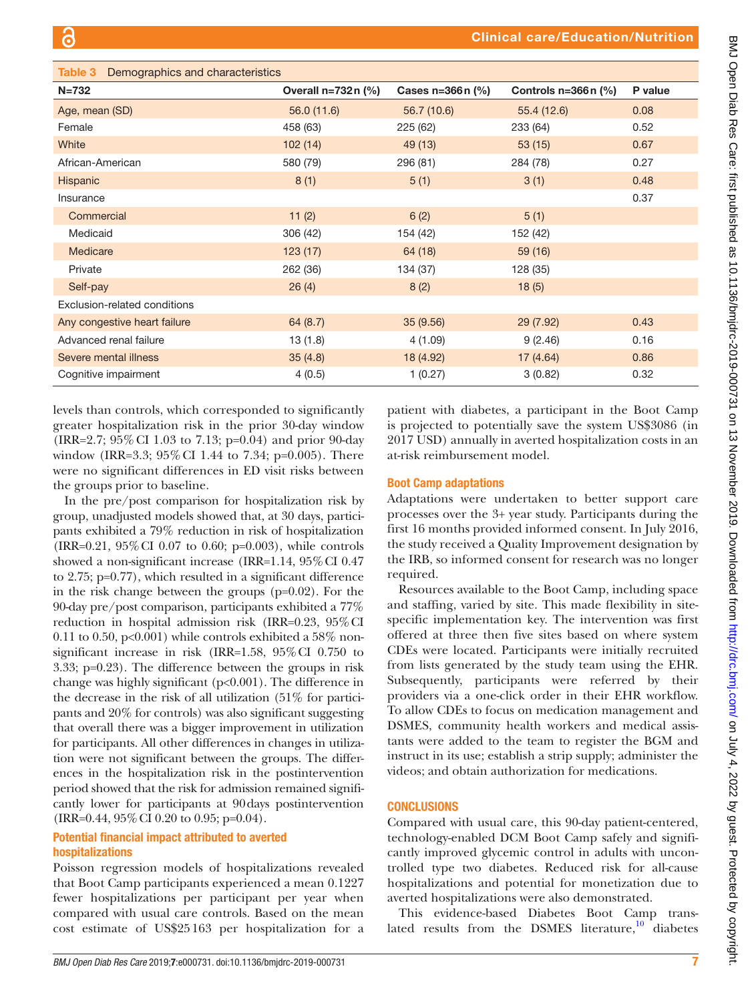<span id="page-6-0"></span>

| Table 3<br>Demographics and characteristics |                      |                    |                       |         |  |  |  |
|---------------------------------------------|----------------------|--------------------|-----------------------|---------|--|--|--|
| $N = 732$                                   | Overall $n=732n$ (%) | Cases $n=366n$ (%) | Controls $n=366n$ (%) | P value |  |  |  |
| Age, mean (SD)                              | 56.0 (11.6)          | 56.7 (10.6)        | 55.4 (12.6)           | 0.08    |  |  |  |
| Female                                      | 458 (63)             | 225(62)            | 233 (64)              | 0.52    |  |  |  |
| White                                       | 102(14)              | 49 (13)            | 53(15)                | 0.67    |  |  |  |
| African-American                            | 580 (79)             | 296 (81)           | 284 (78)              | 0.27    |  |  |  |
| Hispanic                                    | 8(1)                 | 5(1)               | 3(1)                  | 0.48    |  |  |  |
| Insurance                                   |                      |                    |                       | 0.37    |  |  |  |
| Commercial                                  | 11(2)                | 6(2)               | 5(1)                  |         |  |  |  |
| Medicaid                                    | 306 (42)             | 154 (42)           | 152 (42)              |         |  |  |  |
| Medicare                                    | 123(17)              | 64 (18)            | 59 (16)               |         |  |  |  |
| Private                                     | 262 (36)             | 134 (37)           | 128 (35)              |         |  |  |  |
| Self-pay                                    | 26(4)                | 8(2)               | 18(5)                 |         |  |  |  |
| Exclusion-related conditions                |                      |                    |                       |         |  |  |  |
| Any congestive heart failure                | 64(8.7)              | 35(9.56)           | 29(7.92)              | 0.43    |  |  |  |
| Advanced renal failure                      | 13(1.8)              | 4(1.09)            | 9(2.46)               | 0.16    |  |  |  |
| Severe mental illness                       | 35(4.8)              | 18 (4.92)          | 17(4.64)              | 0.86    |  |  |  |
| Cognitive impairment                        | 4(0.5)               | 1(0.27)            | 3(0.82)               | 0.32    |  |  |  |

levels than controls, which corresponded to significantly greater hospitalization risk in the prior 30-day window (IRR=2.7; 95%CI 1.03 to 7.13; p=0.04) and prior 90-day window (IRR=3.3; 95%CI 1.44 to 7.34; p=0.005). There were no significant differences in ED visit risks between the groups prior to baseline.

In the pre/post comparison for hospitalization risk by group, unadjusted models showed that, at 30 days, participants exhibited a 79% reduction in risk of hospitalization (IRR=0.21, 95%CI 0.07 to 0.60; p=0.003), while controls showed a non-significant increase (IRR=1.14, 95%CI 0.47 to 2.75; p=0.77), which resulted in a significant difference in the risk change between the groups (p=0.02). For the 90-day pre/post comparison, participants exhibited a 77% reduction in hospital admission risk (IRR=0.23, 95%CI 0.11 to 0.50,  $p<0.001$ ) while controls exhibited a 58% nonsignificant increase in risk (IRR=1.58, 95%CI 0.750 to 3.33; p=0.23). The difference between the groups in risk change was highly significant (p<0.001). The difference in the decrease in the risk of all utilization (51% for participants and 20% for controls) was also significant suggesting that overall there was a bigger improvement in utilization for participants. All other differences in changes in utilization were not significant between the groups. The differences in the hospitalization risk in the postintervention period showed that the risk for admission remained significantly lower for participants at 90days postintervention (IRR=0.44, 95%CI 0.20 to 0.95; p=0.04).

## Potential financial impact attributed to averted hospitalizations

Poisson regression models of hospitalizations revealed that Boot Camp participants experienced a mean 0.1227 fewer hospitalizations per participant per year when compared with usual care controls. Based on the mean cost estimate of US\$25163 per hospitalization for a

patient with diabetes, a participant in the Boot Camp is projected to potentially save the system US\$3086 (in 2017 USD) annually in averted hospitalization costs in an at-risk reimbursement model.

## Boot Camp adaptations

Adaptations were undertaken to better support care processes over the 3+ year study. Participants during the first 16 months provided informed consent. In July 2016, the study received a Quality Improvement designation by the IRB, so informed consent for research was no longer required.

Resources available to the Boot Camp, including space and staffing, varied by site. This made flexibility in sitespecific implementation key. The intervention was first offered at three then five sites based on where system CDEs were located. Participants were initially recruited from lists generated by the study team using the EHR. Subsequently, participants were referred by their providers via a one-click order in their EHR workflow. To allow CDEs to focus on medication management and DSMES, community health workers and medical assistants were added to the team to register the BGM and instruct in its use; establish a strip supply; administer the videos; and obtain authorization for medications.

## **CONCLUSIONS**

Compared with usual care, this 90-day patient-centered, technology-enabled DCM Boot Camp safely and significantly improved glycemic control in adults with uncontrolled type two diabetes. Reduced risk for all-cause hospitalizations and potential for monetization due to averted hospitalizations were also demonstrated.

This evidence-based Diabetes Boot Camp translated results from the DSMES literature, $10^{-10}$  $10^{-10}$  diabetes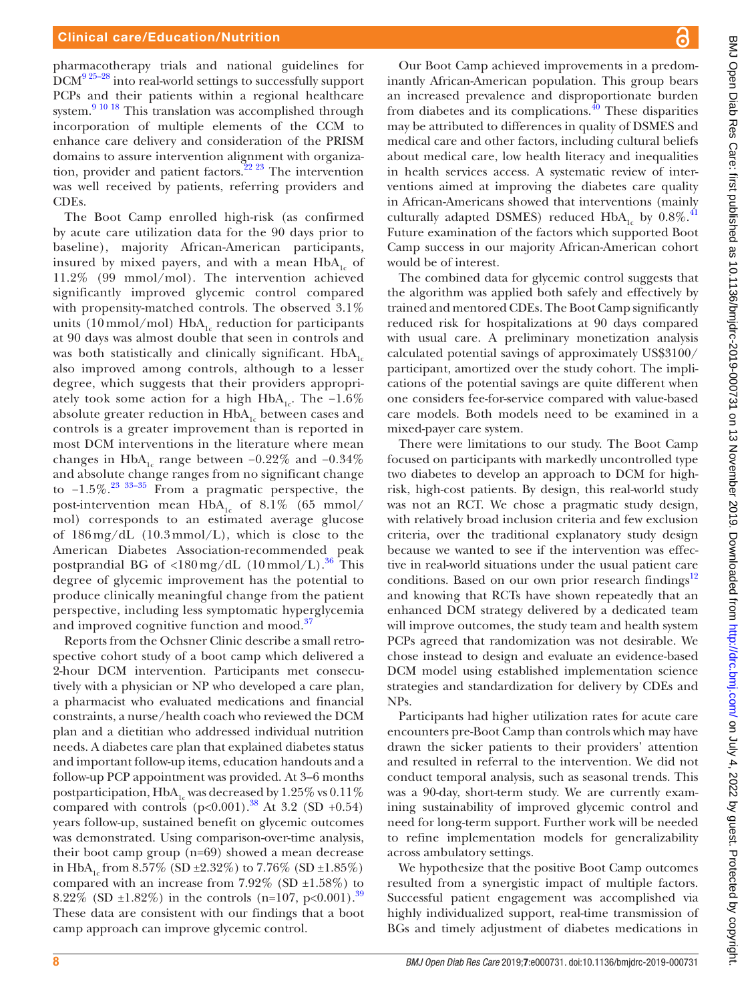pharmacotherapy trials and national guidelines for  $DCM<sup>9 25-28</sup>$  into real-world settings to successfully support PCPs and their patients within a regional healthcare system.<sup>9 10 18</sup> This translation was accomplished through incorporation of multiple elements of the CCM to enhance care delivery and consideration of the PRISM domains to assure intervention alignment with organiza-tion, provider and patient factors.<sup>[22 23](#page-9-8)</sup> The intervention was well received by patients, referring providers and CDEs.

The Boot Camp enrolled high-risk (as confirmed by acute care utilization data for the 90 days prior to baseline), majority African-American participants, insured by mixed payers, and with a mean  $HbA_1$  of 11.2% (99 mmol/mol). The intervention achieved significantly improved glycemic control compared with propensity-matched controls. The observed 3.1% units (10 mmol/mol) HbA<sub>1c</sub> reduction for participants at 90 days was almost double that seen in controls and was both statistically and clinically significant.  $HbA<sub>1c</sub>$ also improved among controls, although to a lesser degree, which suggests that their providers appropriately took some action for a high HbA<sub>1c</sub>. The −1.6% absolute greater reduction in  $HbA_{1c}$  between cases and controls is a greater improvement than is reported in most DCM interventions in the literature where mean changes in HbA<sub>1c</sub> range between −0.22% and −0.34% and absolute change ranges from no significant change to  $-1.5\%$ .<sup>[23 33–35](#page-9-15)</sup> From a pragmatic perspective, the post-intervention mean  $HbA_{1c}$  of 8.1% (65 mmol/ mol) corresponds to an estimated average glucose of  $186 \,\text{mg/dL}$  (10.3 mmol/L), which is close to the American Diabetes Association-recommended peak postprandial BG of  $\langle 180 \text{ mg/dL} (10 \text{ mmol/L}) \cdot ^{36}$  $\langle 180 \text{ mg/dL} (10 \text{ mmol/L}) \cdot ^{36}$  $\langle 180 \text{ mg/dL} (10 \text{ mmol/L}) \cdot ^{36}$  This degree of glycemic improvement has the potential to produce clinically meaningful change from the patient perspective, including less symptomatic hyperglycemia and improved cognitive function and mood.<sup>[37](#page-9-17)</sup>

Reports from the Ochsner Clinic describe a small retrospective cohort study of a boot camp which delivered a 2-hour DCM intervention. Participants met consecutively with a physician or NP who developed a care plan, a pharmacist who evaluated medications and financial constraints, a nurse/health coach who reviewed the DCM plan and a dietitian who addressed individual nutrition needs. A diabetes care plan that explained diabetes status and important follow-up items, education handouts and a follow-up PCP appointment was provided. At 3–6 months postparticipation,  $HbA<sub>1c</sub>$  was decreased by 1.25% vs 0.11% compared with controls  $(p<0.001)$ .<sup>38</sup> At 3.2 (SD +0.54) years follow-up, sustained benefit on glycemic outcomes was demonstrated. Using comparison-over-time analysis, their boot camp group (n=69) showed a mean decrease in HbA<sub>1c</sub> from 8.57% (SD ±2.32%) to 7.76% (SD ±1.85%) compared with an increase from  $7.92\%$  (SD  $\pm 1.58\%$ ) to 8.22\% (SD  $\pm$ 1.82\%) in the controls (n=107, p<0.001).<sup>39</sup> These data are consistent with our findings that a boot camp approach can improve glycemic control.

Our Boot Camp achieved improvements in a predominantly African-American population. This group bears an increased prevalence and disproportionate burden from diabetes and its complications. $^{40}$  $^{40}$  $^{40}$  These disparities may be attributed to differences in quality of DSMES and medical care and other factors, including cultural beliefs about medical care, low health literacy and inequalities in health services access. A systematic review of interventions aimed at improving the diabetes care quality in African-Americans showed that interventions (mainly culturally adapted DSMES) reduced  $HbA<sub>1c</sub>$  by 0.8%.<sup>[41](#page-9-21)</sup> Future examination of the factors which supported Boot Camp success in our majority African-American cohort would be of interest.

The combined data for glycemic control suggests that the algorithm was applied both safely and effectively by trained and mentored CDEs. The Boot Camp significantly reduced risk for hospitalizations at 90 days compared with usual care. A preliminary monetization analysis calculated potential savings of approximately US\$3100/ participant, amortized over the study cohort. The implications of the potential savings are quite different when one considers fee-for-service compared with value-based care models. Both models need to be examined in a mixed-payer care system.

There were limitations to our study. The Boot Camp focused on participants with markedly uncontrolled type two diabetes to develop an approach to DCM for highrisk, high-cost patients. By design, this real-world study was not an RCT. We chose a pragmatic study design, with relatively broad inclusion criteria and few exclusion criteria, over the traditional explanatory study design because we wanted to see if the intervention was effective in real-world situations under the usual patient care conditions. Based on our own prior research findings<sup>12</sup> and knowing that RCTs have shown repeatedly that an enhanced DCM strategy delivered by a dedicated team will improve outcomes, the study team and health system PCPs agreed that randomization was not desirable. We chose instead to design and evaluate an evidence-based DCM model using established implementation science strategies and standardization for delivery by CDEs and NPs.

Participants had higher utilization rates for acute care encounters pre-Boot Camp than controls which may have drawn the sicker patients to their providers' attention and resulted in referral to the intervention. We did not conduct temporal analysis, such as seasonal trends. This was a 90-day, short-term study. We are currently examining sustainability of improved glycemic control and need for long-term support. Further work will be needed to refine implementation models for generalizability across ambulatory settings.

We hypothesize that the positive Boot Camp outcomes resulted from a synergistic impact of multiple factors. Successful patient engagement was accomplished via highly individualized support, real-time transmission of BGs and timely adjustment of diabetes medications in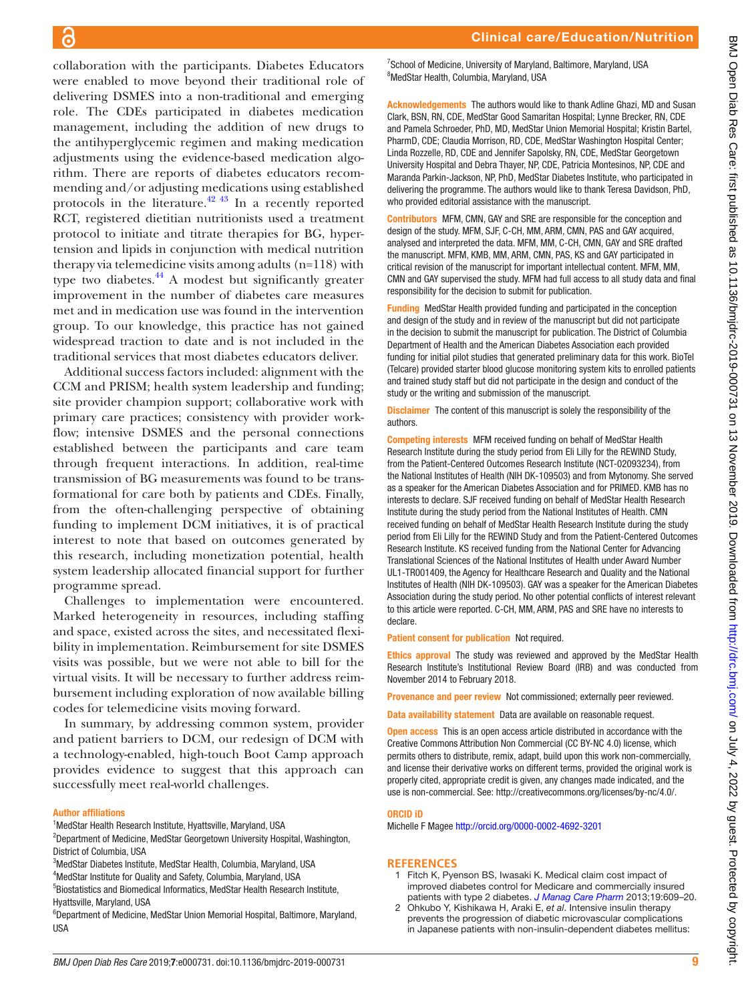collaboration with the participants. Diabetes Educators were enabled to move beyond their traditional role of delivering DSMES into a non-traditional and emerging role. The CDEs participated in diabetes medication management, including the addition of new drugs to the antihyperglycemic regimen and making medication adjustments using the evidence-based medication algorithm. There are reports of diabetes educators recommending and/or adjusting medications using established protocols in the literature. $42 \frac{43}{1}$  In a recently reported RCT, registered dietitian nutritionists used a treatment protocol to initiate and titrate therapies for BG, hypertension and lipids in conjunction with medical nutrition therapy via telemedicine visits among adults (n=118) with type two diabetes. $44$  A modest but significantly greater improvement in the number of diabetes care measures met and in medication use was found in the intervention group. To our knowledge, this practice has not gained widespread traction to date and is not included in the traditional services that most diabetes educators deliver.

Additional success factors included: alignment with the CCM and PRISM; health system leadership and funding; site provider champion support; collaborative work with primary care practices; consistency with provider workflow; intensive DSMES and the personal connections established between the participants and care team through frequent interactions. In addition, real-time transmission of BG measurements was found to be transformational for care both by patients and CDEs. Finally, from the often-challenging perspective of obtaining funding to implement DCM initiatives, it is of practical interest to note that based on outcomes generated by this research, including monetization potential, health system leadership allocated financial support for further programme spread.

Challenges to implementation were encountered. Marked heterogeneity in resources, including staffing and space, existed across the sites, and necessitated flexibility in implementation. Reimbursement for site DSMES visits was possible, but we were not able to bill for the virtual visits. It will be necessary to further address reimbursement including exploration of now available billing codes for telemedicine visits moving forward.

In summary, by addressing common system, provider and patient barriers to DCM, our redesign of DCM with a technology-enabled, high-touch Boot Camp approach provides evidence to suggest that this approach can successfully meet real-world challenges.

#### Author affiliations

<sup>1</sup>MedStar Health Research Institute, Hyattsville, Maryland, USA

<sup>2</sup>Department of Medicine, MedStar Georgetown University Hospital, Washington, District of Columbia, USA

- 3 MedStar Diabetes Institute, MedStar Health, Columbia, Maryland, USA
- 4 MedStar Institute for Quality and Safety, Columbia, Maryland, USA
- 5 Biostatistics and Biomedical Informatics, MedStar Health Research Institute, Hyattsville, Maryland, USA

<sup>6</sup>Department of Medicine, MedStar Union Memorial Hospital, Baltimore, Maryland, USA

<sup>7</sup>School of Medicine, University of Maryland, Baltimore, Maryland, USA 8 MedStar Health, Columbia, Maryland, USA

Acknowledgements The authors would like to thank Adline Ghazi, MD and Susan Clark, BSN, RN, CDE, MedStar Good Samaritan Hospital; Lynne Brecker, RN, CDE and Pamela Schroeder, PhD, MD, MedStar Union Memorial Hospital; Kristin Bartel, PharmD, CDE; Claudia Morrison, RD, CDE, MedStar Washington Hospital Center; Linda Rozzelle, RD, CDE and Jennifer Sapolsky, RN, CDE, MedStar Georgetown University Hospital and Debra Thayer, NP, CDE, Patricia Montesinos, NP, CDE and Maranda Parkin-Jackson, NP, PhD, MedStar Diabetes Institute, who participated in delivering the programme. The authors would like to thank Teresa Davidson, PhD, who provided editorial assistance with the manuscript.

Contributors MFM, CMN, GAY and SRE are responsible for the conception and design of the study. MFM, SJF, C-CH, MM, ARM, CMN, PAS and GAY acquired, analysed and interpreted the data. MFM, MM, C-CH, CMN, GAY and SRE drafted the manuscript. MFM, KMB, MM, ARM, CMN, PAS, KS and GAY participated in critical revision of the manuscript for important intellectual content. MFM, MM, CMN and GAY supervised the study. MFM had full access to all study data and final responsibility for the decision to submit for publication.

Funding MedStar Health provided funding and participated in the conception and design of the study and in review of the manuscript but did not participate in the decision to submit the manuscript for publication. The District of Columbia Department of Health and the American Diabetes Association each provided funding for initial pilot studies that generated preliminary data for this work. BioTel (Telcare) provided starter blood glucose monitoring system kits to enrolled patients and trained study staff but did not participate in the design and conduct of the study or the writing and submission of the manuscript.

**Disclaimer** The content of this manuscript is solely the responsibility of the authors.

Competing interests MFM received funding on behalf of MedStar Health Research Institute during the study period from Eli Lilly for the REWIND Study, from the Patient-Centered Outcomes Research Institute (NCT-02093234), from the National Institutes of Health (NIH DK-109503) and from Mytonomy. She served as a speaker for the American Diabetes Association and for PRIMED. KMB has no interests to declare. SJF received funding on behalf of MedStar Health Research Institute during the study period from the National Institutes of Health. CMN received funding on behalf of MedStar Health Research Institute during the study period from Eli Lilly for the REWIND Study and from the Patient-Centered Outcomes Research Institute. KS received funding from the National Center for Advancing Translational Sciences of the National Institutes of Health under Award Number UL1-TR001409, the Agency for Healthcare Research and Quality and the National Institutes of Health (NIH DK-109503). GAY was a speaker for the American Diabetes Association during the study period. No other potential conflicts of interest relevant to this article were reported. C-CH, MM, ARM, PAS and SRE have no interests to declare.

Patient consent for publication Not required.

Ethics approval The study was reviewed and approved by the MedStar Health Research Institute's Institutional Review Board (IRB) and was conducted from November 2014 to February 2018.

Provenance and peer review Not commissioned; externally peer reviewed.

Data availability statement Data are available on reasonable request.

Open access This is an open access article distributed in accordance with the Creative Commons Attribution Non Commercial (CC BY-NC 4.0) license, which permits others to distribute, remix, adapt, build upon this work non-commercially, and license their derivative works on different terms, provided the original work is properly cited, appropriate credit is given, any changes made indicated, and the use is non-commercial. See:<http://creativecommons.org/licenses/by-nc/4.0/>.

#### ORCID iD

Michelle F Magee<http://orcid.org/0000-0002-4692-3201>

#### **References**

- <span id="page-8-0"></span>1 Fitch K, Pyenson BS, Iwasaki K. Medical claim cost impact of improved diabetes control for Medicare and commercially insured patients with type 2 diabetes. *[J Manag Care Pharm](http://dx.doi.org/10.18553/jmcp.2013.19.8.609)* 2013;19:609–20.
- <span id="page-8-1"></span>2 Ohkubo Y, Kishikawa H, Araki E, *et al*. Intensive insulin therapy prevents the progression of diabetic microvascular complications in Japanese patients with non-insulin-dependent diabetes mellitus: